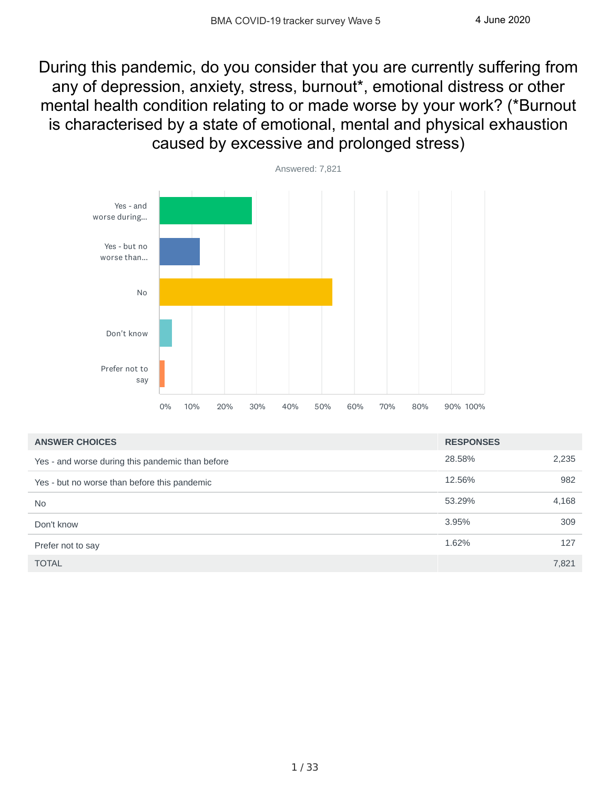During this pandemic, do you consider that you are currently suffering from any of depression, anxiety, stress, burnout\*, emotional distress or other mental health condition relating to or made worse by your work? (\*Burnout is characterised by a state of emotional, mental and physical exhaustion caused by excessive and prolonged stress)



| <b>ANSWER CHOICES</b>                            | <b>RESPONSES</b> |       |
|--------------------------------------------------|------------------|-------|
| Yes - and worse during this pandemic than before | 28.58%           | 2,235 |
| Yes - but no worse than before this pandemic     | 12.56%           | 982   |
| <b>No</b>                                        | 53.29%           | 4,168 |
| Don't know                                       | 3.95%            | 309   |
| Prefer not to say                                | 1.62%            | 127   |
| <b>TOTAL</b>                                     |                  | 7.821 |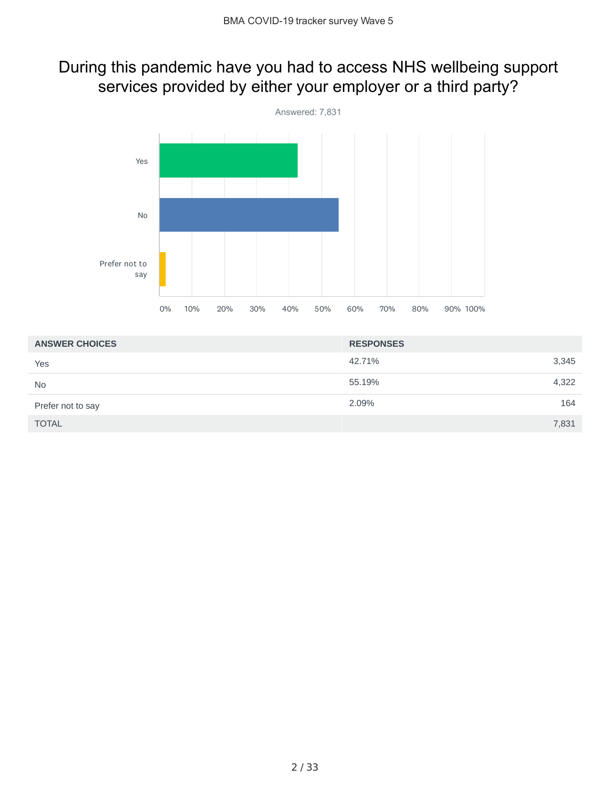## During this pandemic have you had to access NHS wellbeing support services provided by either your employer or a third party?



| <b>ANSWER CHOICES</b> | <b>RESPONSES</b> |
|-----------------------|------------------|
| Yes                   | 42.71%<br>3,345  |
| <b>No</b>             | 4,322<br>55.19%  |
| Prefer not to say     | 164<br>2.09%     |
| <b>TOTAL</b>          | 7,831            |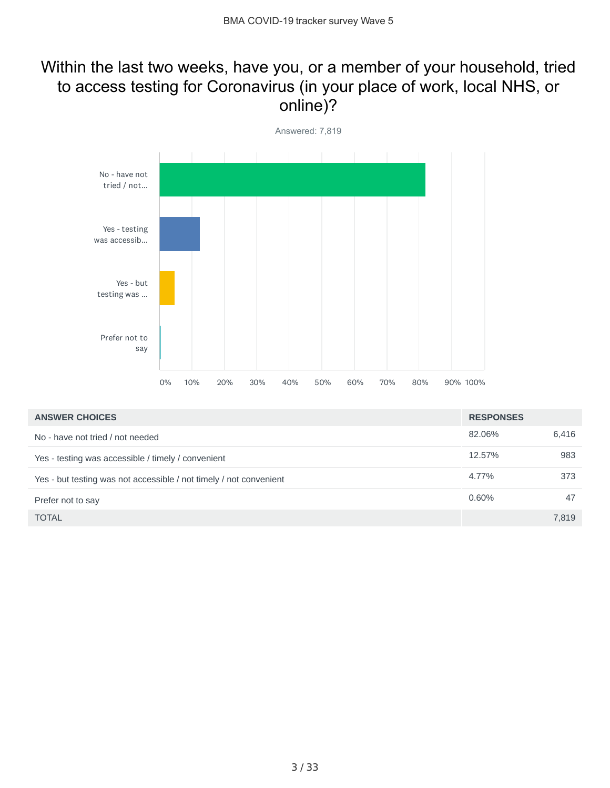## Within the last two weeks, have you, or a member of your household, tried to access testing for Coronavirus (in your place of work, local NHS, or online)?



| <b>ANSWER CHOICES</b>                                              | <b>RESPONSES</b> |       |
|--------------------------------------------------------------------|------------------|-------|
| No - have not tried / not needed                                   | 82.06%           | 6,416 |
| Yes - testing was accessible / timely / convenient                 | 12.57%           | 983   |
| Yes - but testing was not accessible / not timely / not convenient | 4.77%            | 373   |
| Prefer not to say                                                  | 0.60%            | 47    |
| <b>TOTAL</b>                                                       |                  | 7,819 |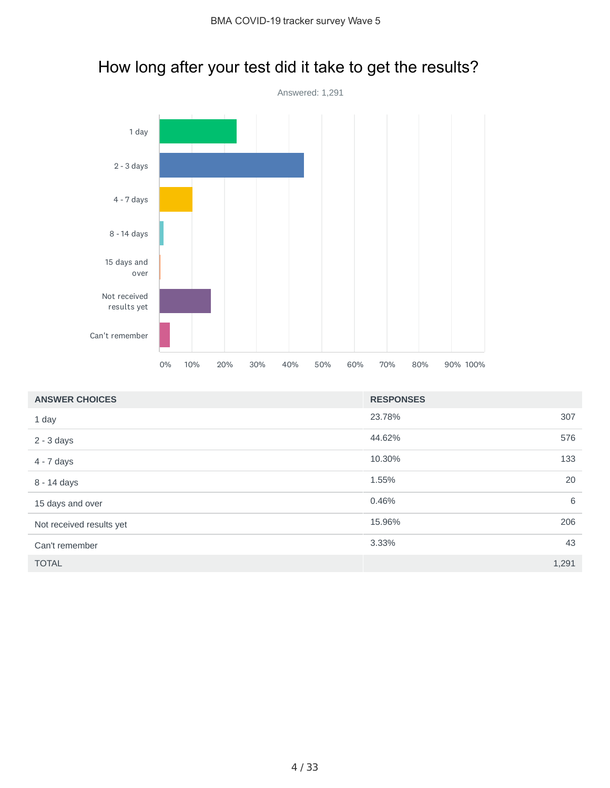# How long after your test did it take to get the results?



| <b>ANSWER CHOICES</b>    | <b>RESPONSES</b> |       |
|--------------------------|------------------|-------|
| 1 day                    | 23.78%           | 307   |
| $2 - 3$ days             | 44.62%           | 576   |
| 4 - 7 days               | 10.30%           | 133   |
| 8 - 14 days              | 1.55%            | 20    |
| 15 days and over         | 0.46%            | 6     |
| Not received results yet | 15.96%           | 206   |
| Can't remember           | 3.33%            | 43    |
| <b>TOTAL</b>             |                  | 1,291 |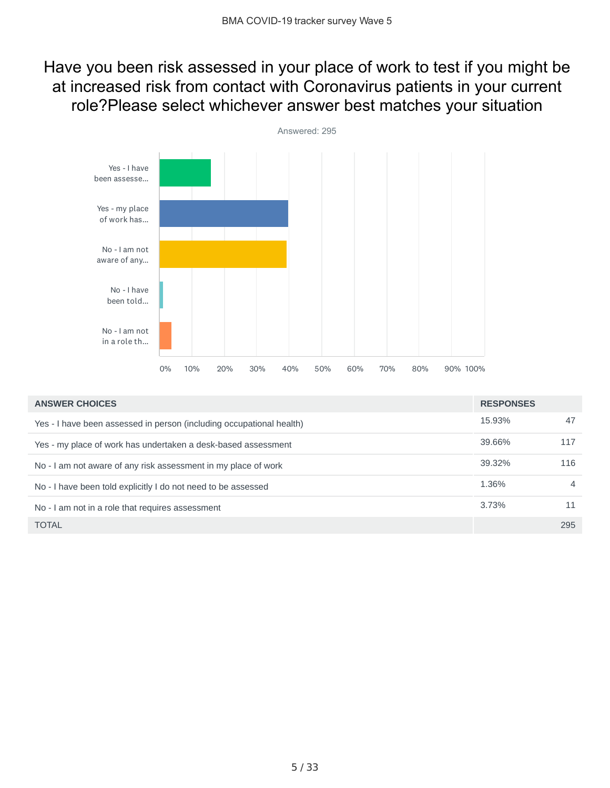## Have you been risk assessed in your place of work to test if you might be at increased risk from contact with Coronavirus patients in your current role?Please select whichever answer best matches your situation



| <b>ANSWER CHOICES</b>                                                | <b>RESPONSES</b> |                |
|----------------------------------------------------------------------|------------------|----------------|
| Yes - I have been assessed in person (including occupational health) | 15.93%           | 47             |
| Yes - my place of work has undertaken a desk-based assessment        | 39.66%           | 117            |
| No - I am not aware of any risk assessment in my place of work       | 39.32%           | 116            |
| No - I have been told explicitly I do not need to be assessed        | 1.36%            | $\overline{4}$ |
| No - I am not in a role that requires assessment                     | 3.73%            | 11             |
| <b>TOTAL</b>                                                         |                  | 295            |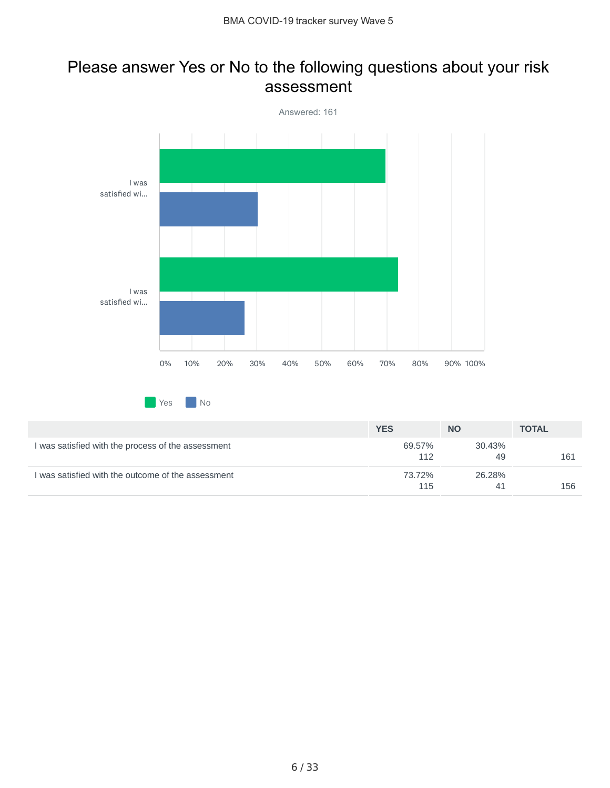#### Please answer Yes or No to the following questions about your risk assessment



|                                                    | <b>YES</b>    | <b>NO</b>    | <b>TOTAL</b> |
|----------------------------------------------------|---------------|--------------|--------------|
| I was satisfied with the process of the assessment | 69.57%<br>112 | 30.43%<br>49 | 161          |
| I was satisfied with the outcome of the assessment | 73.72%<br>115 | 26.28%<br>41 | 156          |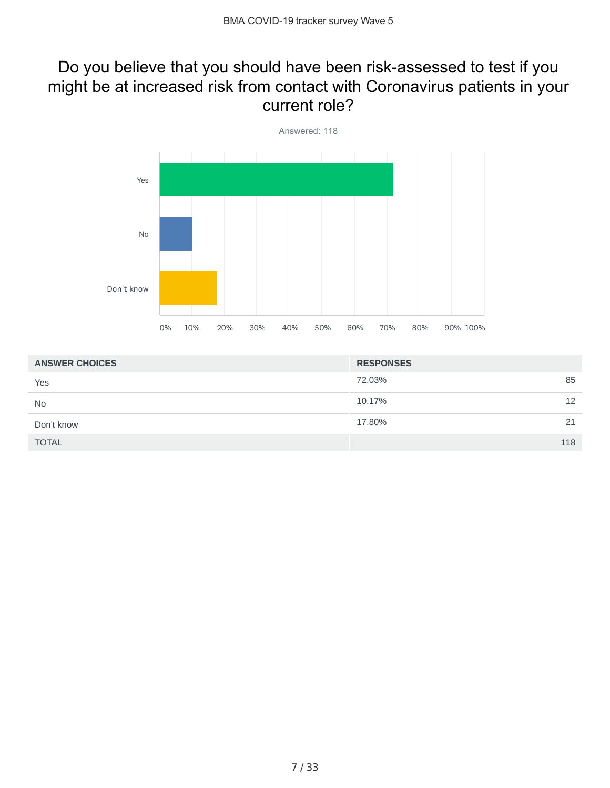### Do you believe that you should have been risk-assessed to test if you might be at increased risk from contact with Coronavirus patients in your current role?



| <b>ANSWER CHOICES</b> | <b>RESPONSES</b> |
|-----------------------|------------------|
| Yes                   | 85<br>72.03%     |
| <b>No</b>             | 10.17%<br>12     |
| Don't know            | 17.80%<br>21     |
| <b>TOTAL</b>          | 118              |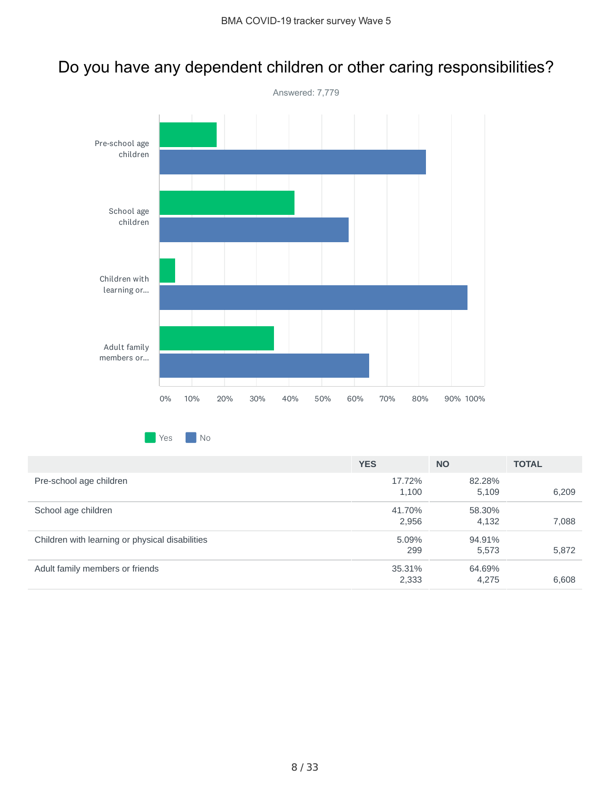## Do you have any dependent children or other caring responsibilities?



**Yes** No

|                                                 | <b>YES</b> | <b>NO</b> | <b>TOTAL</b> |
|-------------------------------------------------|------------|-----------|--------------|
| Pre-school age children                         | 17.72%     | 82.28%    |              |
|                                                 | 1,100      | 5,109     | 6,209        |
| School age children                             | 41.70%     | 58.30%    |              |
|                                                 | 2,956      | 4,132     | 7,088        |
| Children with learning or physical disabilities | 5.09%      | 94.91%    |              |
|                                                 | 299        | 5,573     | 5,872        |
| Adult family members or friends                 | 35.31%     | 64.69%    |              |
|                                                 | 2,333      | 4,275     | 6,608        |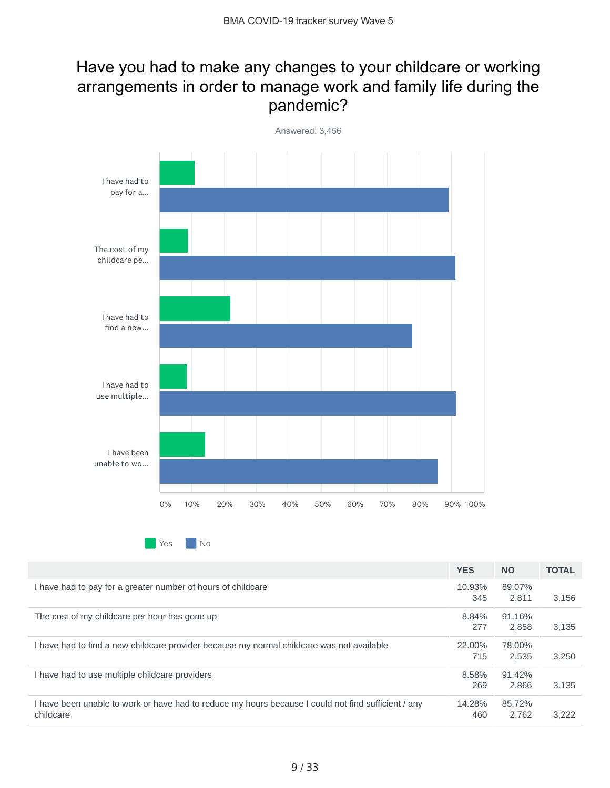## Have you had to make any changes to your childcare or working arrangements in order to manage work and family life during the pandemic?



 $Yes$   $No$ 

|                                                                                                                  | <b>YES</b>    | <b>NO</b>       | <b>TOTAL</b> |
|------------------------------------------------------------------------------------------------------------------|---------------|-----------------|--------------|
| I have had to pay for a greater number of hours of childcare                                                     | 10.93%<br>345 | 89.07%<br>2.811 | 3,156        |
| The cost of my childcare per hour has gone up                                                                    | 8.84%<br>277  | 91.16%<br>2.858 | 3.135        |
| I have had to find a new childcare provider because my normal childcare was not available                        | 22.00%<br>715 | 78.00%<br>2.535 | 3,250        |
| I have had to use multiple childcare providers                                                                   | 8.58%<br>269  | 91.42%<br>2.866 | 3.135        |
| I have been unable to work or have had to reduce my hours because I could not find sufficient / any<br>childcare | 14.28%<br>460 | 85.72%<br>2.762 | 3.222        |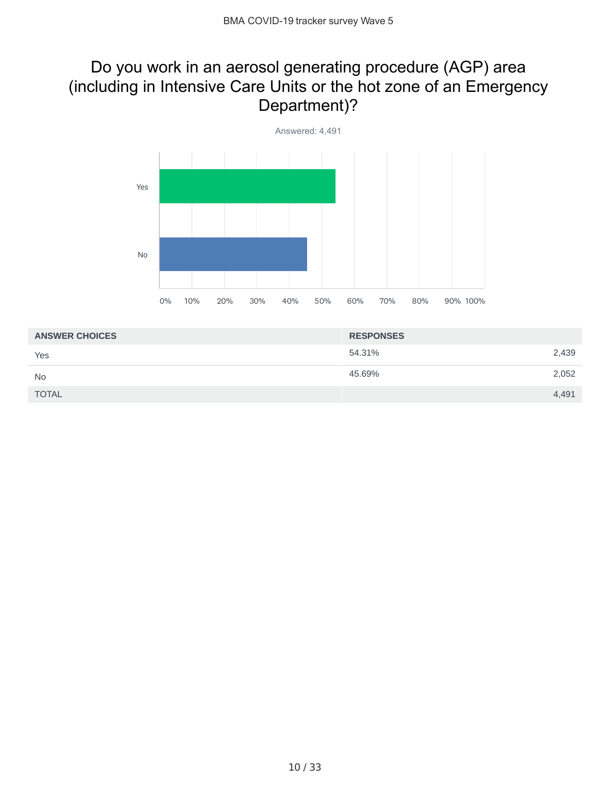## Do you work in an aerosol generating procedure (AGP) area (including in Intensive Care Units or the hot zone of an Emergency Department)?



| <b>RESPONSES</b> |       |
|------------------|-------|
| 54.31%           | 2,439 |
| 45.69%           | 2,052 |
|                  | 4,491 |
|                  |       |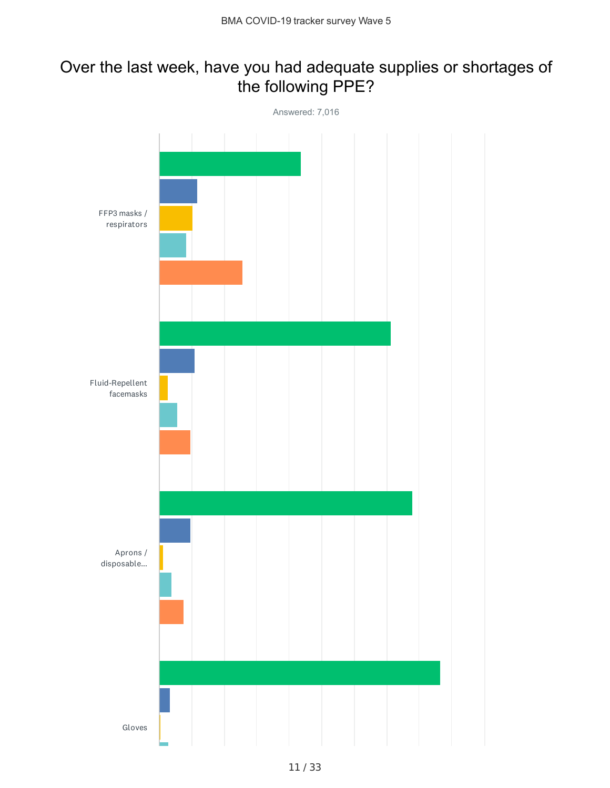## Over the last week, have you had adequate supplies or shortages of the following PPE?

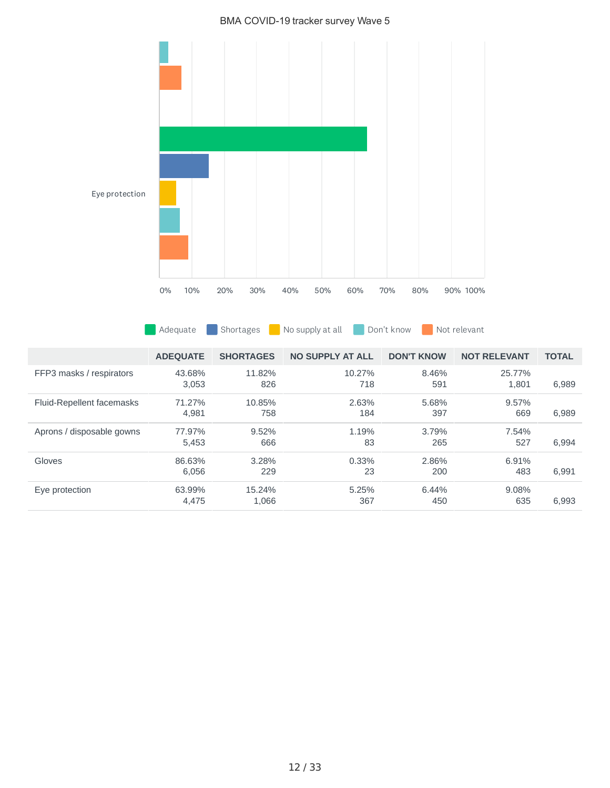#### BMA COVID-19 tracker survey Wave 5



Adequate Shortages No supply at all Don't know Not relevant

|                           | <b>ADEOUATE</b> | <b>SHORTAGES</b> | <b>NO SUPPLY AT ALL</b> | <b>DON'T KNOW</b> | <b>NOT RELEVANT</b> | <b>TOTAL</b> |
|---------------------------|-----------------|------------------|-------------------------|-------------------|---------------------|--------------|
| FFP3 masks / respirators  | 43.68%<br>3.053 | 11.82%<br>826    | 10.27%<br>718           | 8.46%<br>591      | 25.77%<br>1.801     | 6,989        |
| Fluid-Repellent facemasks | 71.27%<br>4,981 | 10.85%<br>758    | 2.63%<br>184            | 5.68%<br>397      | 9.57%<br>669        | 6,989        |
| Aprons / disposable gowns | 77.97%<br>5,453 | 9.52%<br>666     | 1.19%<br>83             | 3.79%<br>265      | 7.54%<br>527        | 6.994        |
| Gloves                    | 86.63%<br>6.056 | 3.28%<br>229     | 0.33%<br>23             | 2.86%<br>200      | 6.91%<br>483        | 6.991        |
| Eye protection            | 63.99%<br>4,475 | 15.24%<br>1,066  | 5.25%<br>367            | 6.44%<br>450      | 9.08%<br>635        | 6.993        |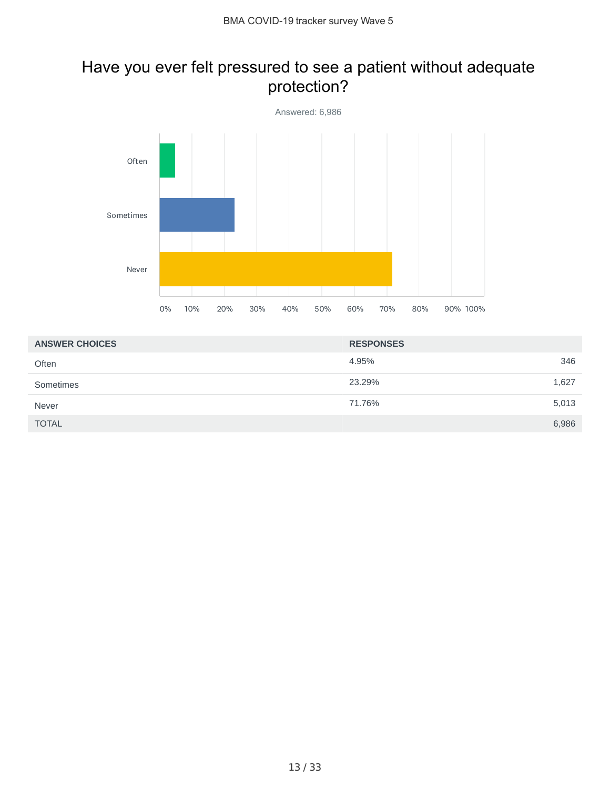## Have you ever felt pressured to see a patient without adequate protection?



| <b>ANSWER CHOICES</b> | <b>RESPONSES</b> |       |
|-----------------------|------------------|-------|
| Often                 | 4.95%            | 346   |
| Sometimes             | 23.29%           | 1,627 |
| Never                 | 71.76%           | 5,013 |
| <b>TOTAL</b>          |                  | 6,986 |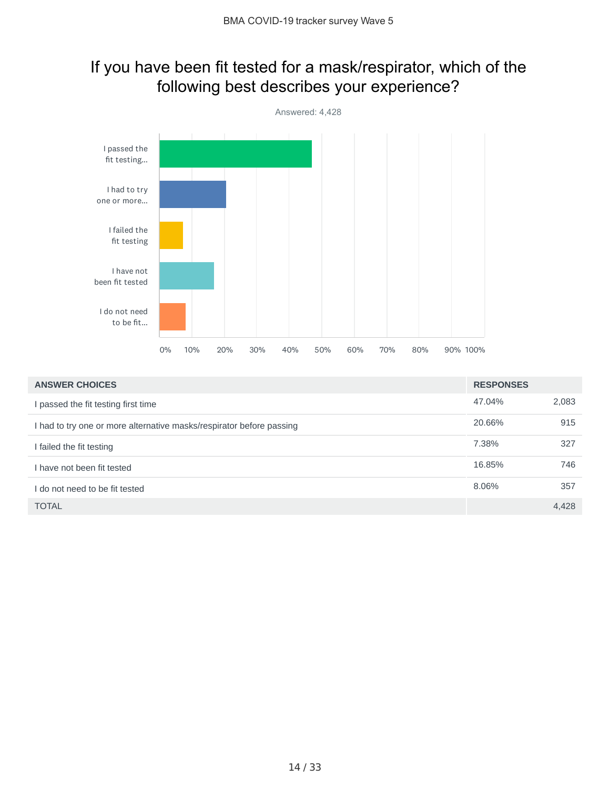## If you have been fit tested for a mask/respirator, which of the following best describes your experience?



| <b>ANSWER CHOICES</b>                                                | <b>RESPONSES</b> |       |
|----------------------------------------------------------------------|------------------|-------|
| passed the fit testing first time                                    | 47.04%           | 2,083 |
| I had to try one or more alternative masks/respirator before passing | 20.66%           | 915   |
| I failed the fit testing                                             | 7.38%            | 327   |
| I have not been fit tested                                           | 16.85%           | 746   |
| I do not need to be fit tested                                       | 8.06%            | 357   |
| <b>TOTAL</b>                                                         |                  | 4,428 |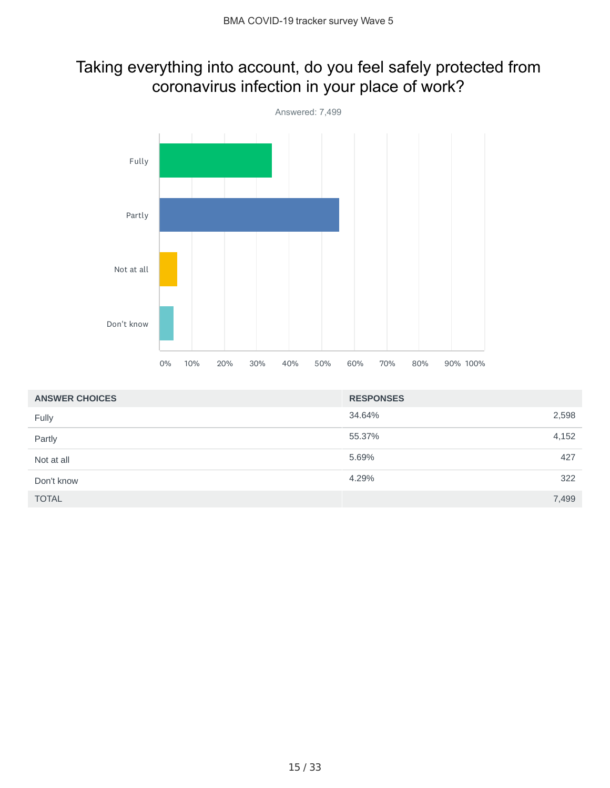## Taking everything into account, do you feel safely protected from coronavirus infection in your place of work?



| <b>ANSWER CHOICES</b> | <b>RESPONSES</b> |       |
|-----------------------|------------------|-------|
| Fully                 | 34.64%           | 2,598 |
| Partly                | 55.37%           | 4,152 |
| Not at all            | 5.69%            | 427   |
| Don't know            | 4.29%            | 322   |
| <b>TOTAL</b>          |                  | 7,499 |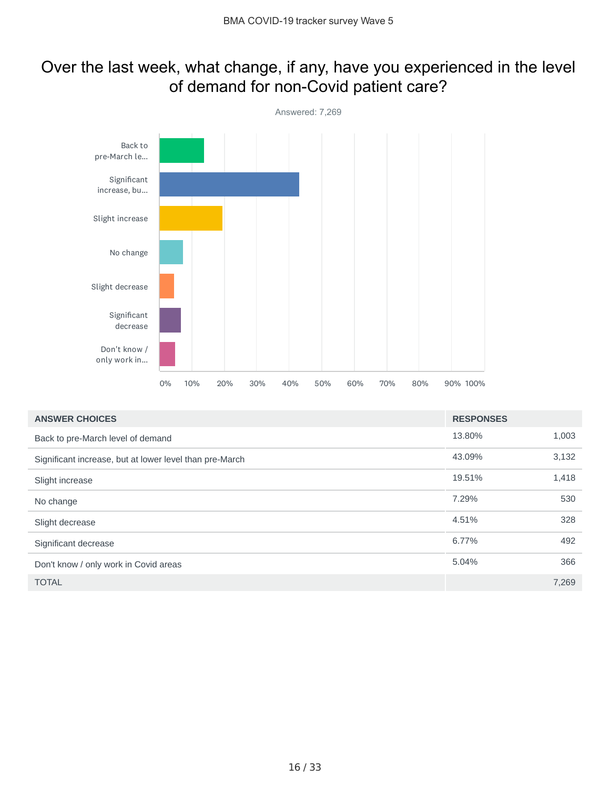### Over the last week, what change, if any, have you experienced in the level of demand for non-Covid patient care?



| <b>ANSWER CHOICES</b>                                   | <b>RESPONSES</b> |       |
|---------------------------------------------------------|------------------|-------|
| Back to pre-March level of demand                       | 13.80%           | 1,003 |
| Significant increase, but at lower level than pre-March | 43.09%           | 3,132 |
| Slight increase                                         | 19.51%           | 1,418 |
| No change                                               | 7.29%            | 530   |
| Slight decrease                                         | 4.51%            | 328   |
| Significant decrease                                    | 6.77%            | 492   |
| Don't know / only work in Covid areas                   | 5.04%            | 366   |
| <b>TOTAL</b>                                            |                  | 7,269 |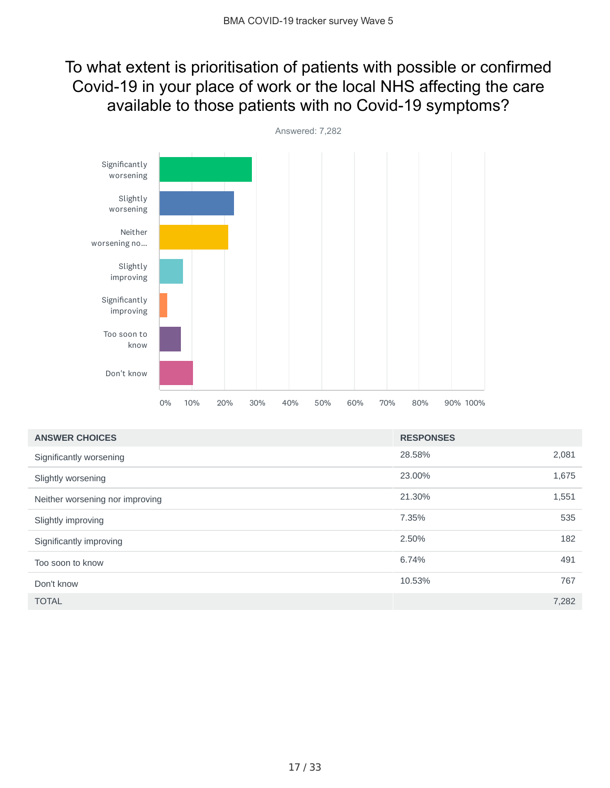## To what extent is prioritisation of patients with possible or confirmed Covid-19 in your place of work or the local NHS affecting the care available to those patients with no Covid-19 symptoms?



| <b>ANSWER CHOICES</b>           | <b>RESPONSES</b> |       |
|---------------------------------|------------------|-------|
| Significantly worsening         | 28.58%           | 2,081 |
| Slightly worsening              | 23.00%           | 1,675 |
| Neither worsening nor improving | 21.30%           | 1,551 |
| Slightly improving              | 7.35%            | 535   |
| Significantly improving         | 2.50%            | 182   |
| Too soon to know                | 6.74%            | 491   |
| Don't know                      | 10.53%           | 767   |
| <b>TOTAL</b>                    |                  | 7,282 |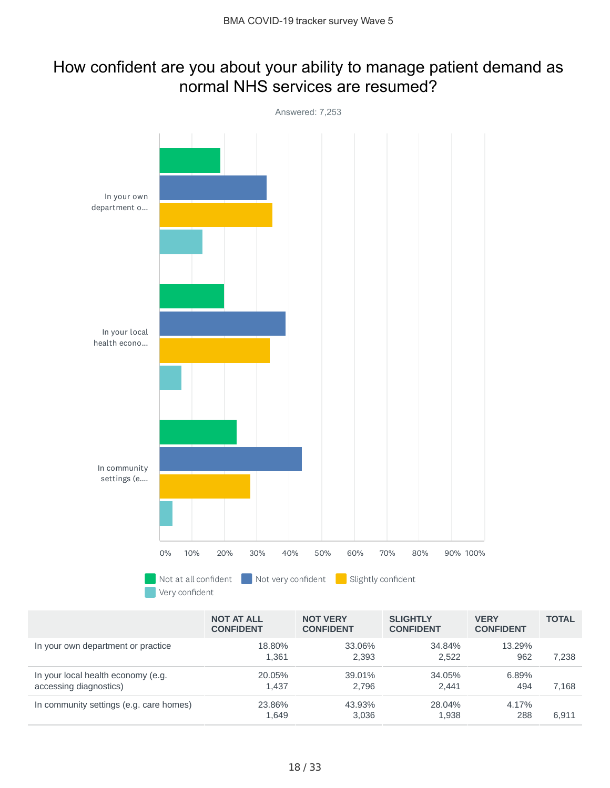#### How confident are you about your ability to manage patient demand as normal NHS services are resumed?



|                                                              | <b>NOT AT ALL</b><br><b>CONFIDENT</b> | <b>NOT VERY</b><br><b>CONFIDENT</b> | <b>SLIGHTLY</b><br><b>CONFIDENT</b> | <b>VERY</b><br><b>CONFIDENT</b> | <b>TOTAL</b> |
|--------------------------------------------------------------|---------------------------------------|-------------------------------------|-------------------------------------|---------------------------------|--------------|
| In your own department or practice                           | 18.80%<br>1.361                       | 33.06%<br>2.393                     | 34.84%<br>2.522                     | 13.29%<br>962                   | 7.238        |
| In your local health economy (e.g.<br>accessing diagnostics) | 20.05%<br>1.437                       | 39.01%<br>2.796                     | 34.05%<br>2.441                     | 6.89%<br>494                    | 7.168        |
| In community settings (e.g. care homes)                      | 23.86%<br>1.649                       | 43.93%<br>3.036                     | 28.04%<br>1.938                     | 4.17%<br>288                    | 6.911        |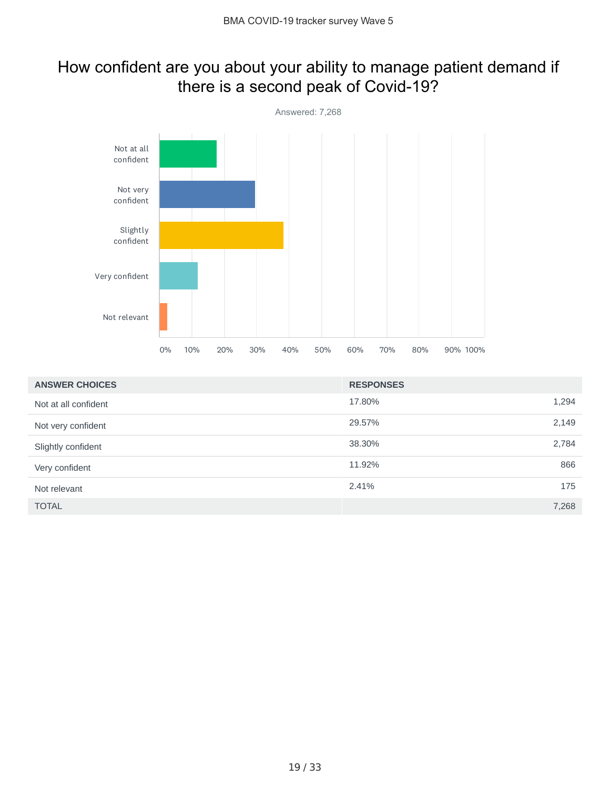## How confident are you about your ability to manage patient demand if there is a second peak of Covid-19?



| <b>ANSWER CHOICES</b> | <b>RESPONSES</b> |  |
|-----------------------|------------------|--|
| Not at all confident  | 1,294<br>17.80%  |  |
| Not very confident    | 2,149<br>29.57%  |  |
| Slightly confident    | 38.30%<br>2,784  |  |
| Very confident        | 866<br>11.92%    |  |
| Not relevant          | 2.41%<br>175     |  |
| <b>TOTAL</b>          | 7,268            |  |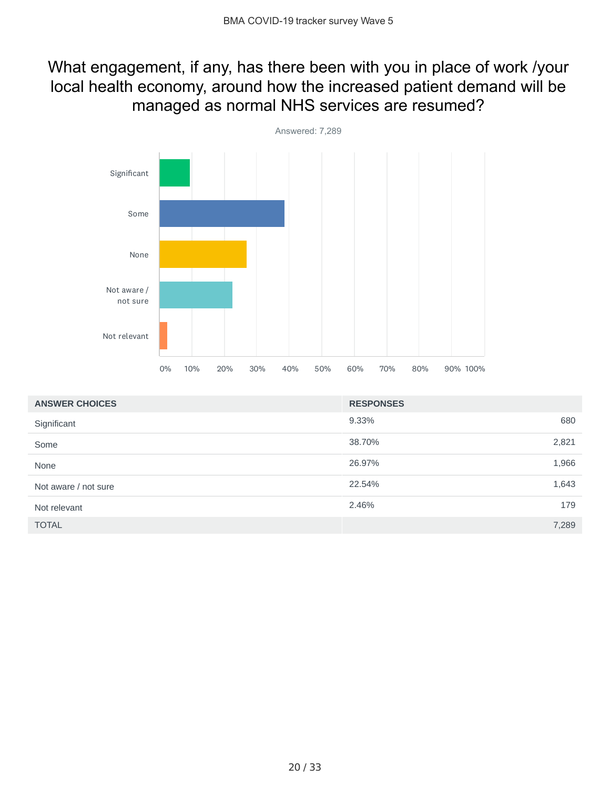## What engagement, if any, has there been with you in place of work /your local health economy, around how the increased patient demand will be managed as normal NHS services are resumed?



| <b>ANSWER CHOICES</b> | <b>RESPONSES</b> |       |
|-----------------------|------------------|-------|
| Significant           | 9.33%            | 680   |
| Some                  | 38.70%           | 2,821 |
| None                  | 26.97%           | 1,966 |
| Not aware / not sure  | 22.54%           | 1,643 |
| Not relevant          | 2.46%            | 179   |
| <b>TOTAL</b>          |                  | 7,289 |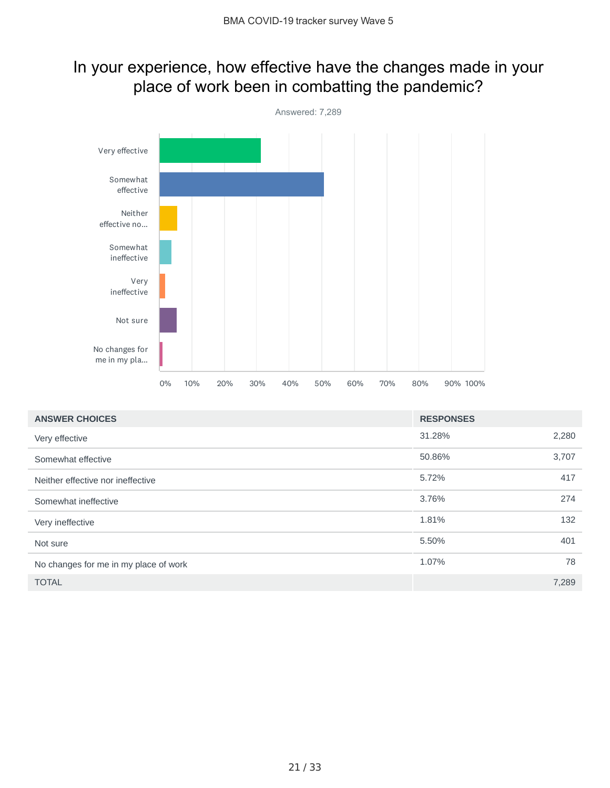### In your experience, how effective have the changes made in your place of work been in combatting the pandemic?



| <b>ANSWER CHOICES</b>                 | <b>RESPONSES</b> |       |
|---------------------------------------|------------------|-------|
| Very effective                        | 31.28%           | 2,280 |
| Somewhat effective                    | 50.86%           | 3,707 |
| Neither effective nor ineffective     | 5.72%            | 417   |
| Somewhat ineffective                  | 3.76%            | 274   |
| Very ineffective                      | 1.81%            | 132   |
| Not sure                              | 5.50%            | 401   |
| No changes for me in my place of work | 1.07%            | 78    |
| <b>TOTAL</b>                          |                  | 7,289 |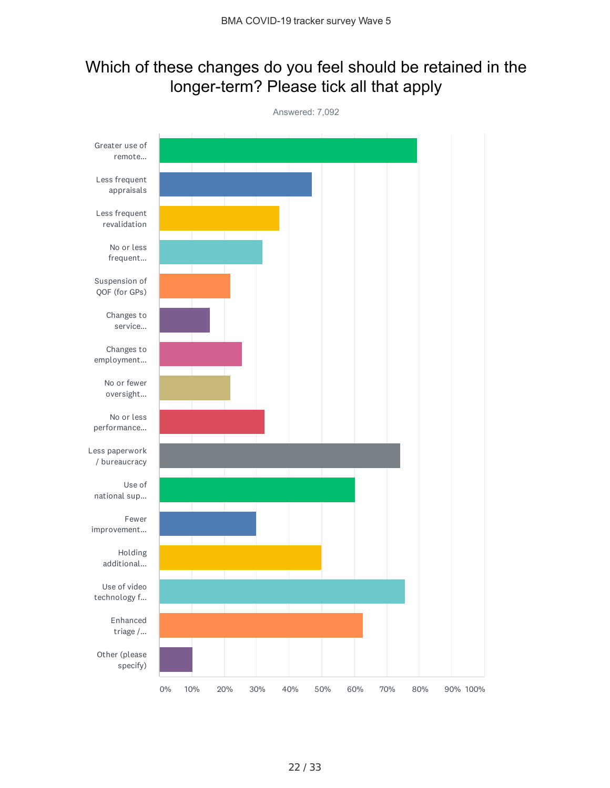### Which of these changes do you feel should be retained in the longer-term? Please tick all that apply

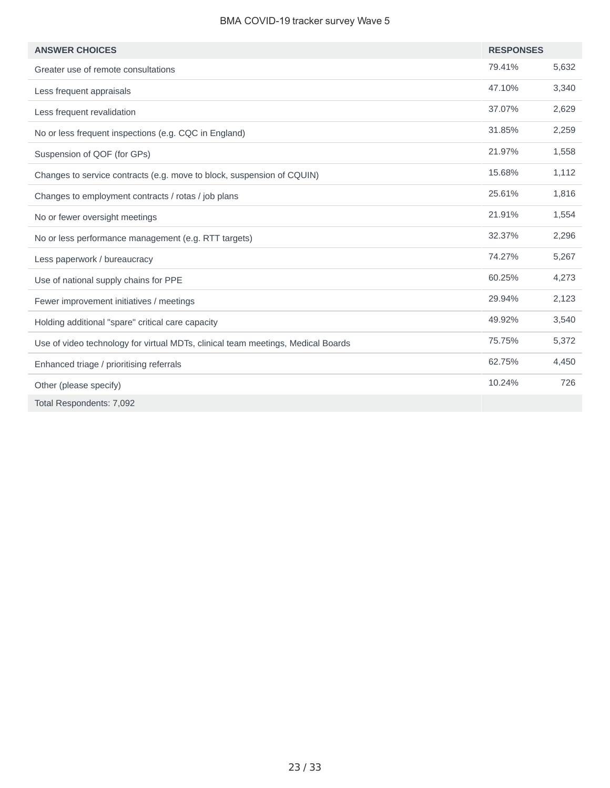#### BMA COVID-19 tracker survey Wave 5

| <b>ANSWER CHOICES</b>                                                            | <b>RESPONSES</b> |       |
|----------------------------------------------------------------------------------|------------------|-------|
| Greater use of remote consultations                                              | 79.41%           | 5,632 |
| Less frequent appraisals                                                         | 47.10%           | 3,340 |
| Less frequent revalidation                                                       | 37.07%           | 2,629 |
| No or less frequent inspections (e.g. CQC in England)                            | 31.85%           | 2,259 |
| Suspension of QOF (for GPs)                                                      | 21.97%           | 1,558 |
| Changes to service contracts (e.g. move to block, suspension of CQUIN)           | 15.68%           | 1,112 |
| Changes to employment contracts / rotas / job plans                              | 25.61%           | 1,816 |
| No or fewer oversight meetings                                                   | 21.91%           | 1,554 |
| No or less performance management (e.g. RTT targets)                             | 32.37%           | 2,296 |
| Less paperwork / bureaucracy                                                     | 74.27%           | 5,267 |
| Use of national supply chains for PPE                                            | 60.25%           | 4,273 |
| Fewer improvement initiatives / meetings                                         | 29.94%           | 2,123 |
| Holding additional "spare" critical care capacity                                | 49.92%           | 3,540 |
| Use of video technology for virtual MDTs, clinical team meetings, Medical Boards | 75.75%           | 5,372 |
| Enhanced triage / prioritising referrals                                         | 62.75%           | 4,450 |
| Other (please specify)                                                           | 10.24%           | 726   |
| Total Respondents: 7,092                                                         |                  |       |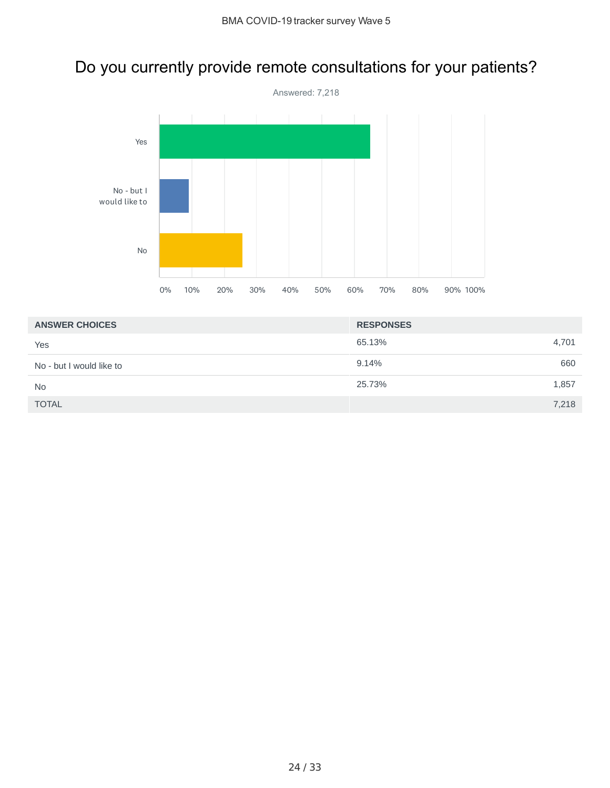## Do you currently provide remote consultations for your patients?



| <b>ANSWER CHOICES</b>    | <b>RESPONSES</b> |
|--------------------------|------------------|
| Yes                      | 65.13%<br>4,701  |
| No - but I would like to | 9.14%<br>660     |
| <b>No</b>                | 25.73%<br>1,857  |
| <b>TOTAL</b>             | 7,218            |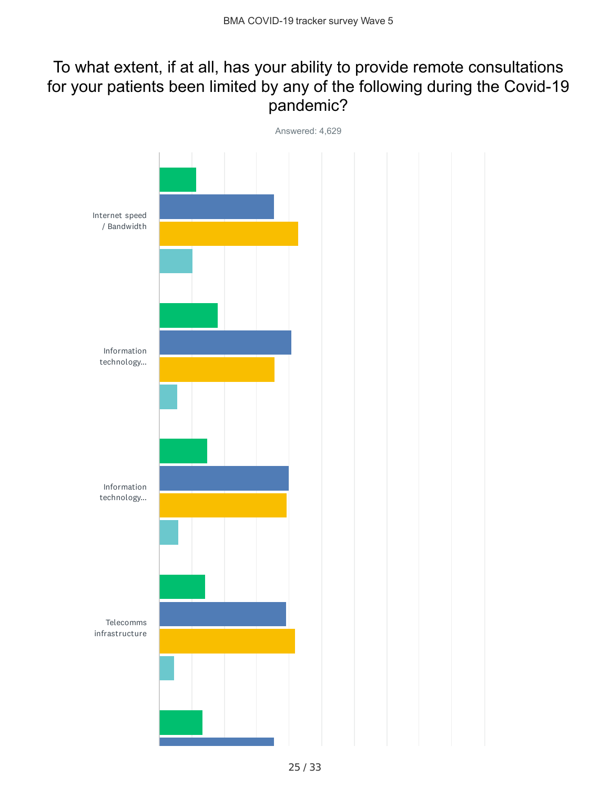## To what extent, if at all, has your ability to provide remote consultations for your patients been limited by any of the following during the Covid-19 pandemic?

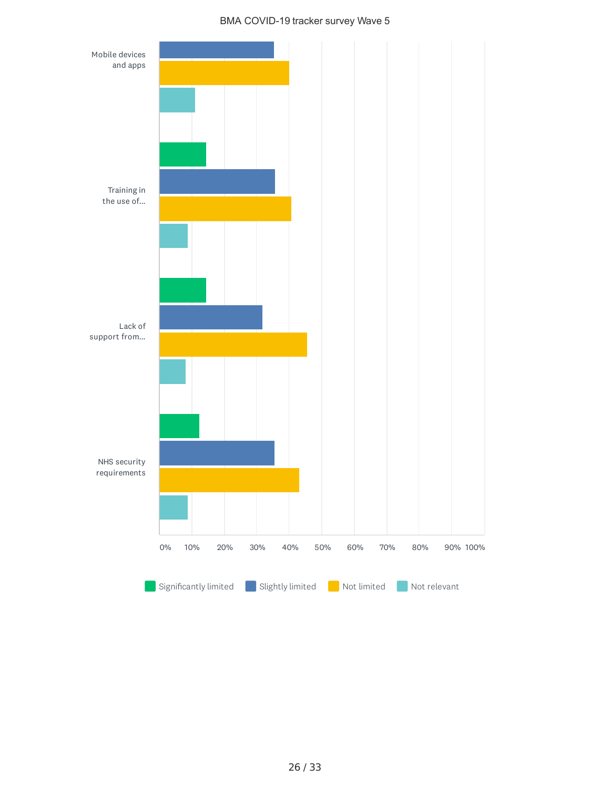#### BMA COVID-19 tracker survey Wave 5

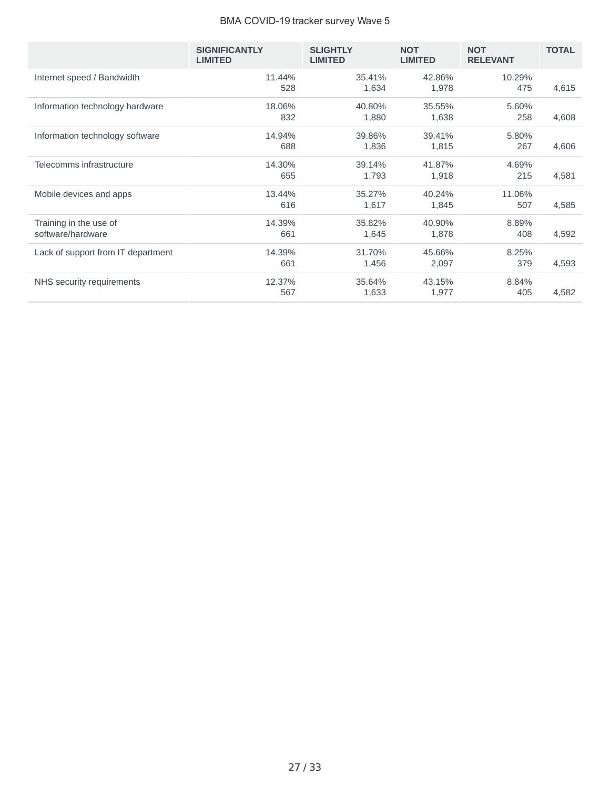#### BMA COVID-19 tracker survey Wave 5

|                                             | <b>SIGNIFICANTLY</b><br><b>LIMITED</b> | <b>SLIGHTLY</b><br><b>LIMITED</b> | <b>NOT</b><br><b>LIMITED</b> | <b>NOT</b><br><b>RELEVANT</b> | <b>TOTAL</b> |
|---------------------------------------------|----------------------------------------|-----------------------------------|------------------------------|-------------------------------|--------------|
| Internet speed / Bandwidth                  | 11.44%<br>528                          | 35.41%<br>1,634                   | 42.86%<br>1,978              | 10.29%<br>475                 | 4,615        |
| Information technology hardware             | 18.06%<br>832                          | 40.80%<br>1,880                   | 35.55%<br>1,638              | 5.60%<br>258                  | 4,608        |
| Information technology software             | 14.94%<br>688                          | 39.86%<br>1,836                   | 39.41%<br>1,815              | 5.80%<br>267                  | 4,606        |
| Telecomms infrastructure                    | 14.30%<br>655                          | 39.14%<br>1,793                   | 41.87%<br>1,918              | 4.69%<br>215                  | 4,581        |
| Mobile devices and apps                     | 13.44%<br>616                          | 35.27%<br>1,617                   | 40.24%<br>1,845              | 11.06%<br>507                 | 4,585        |
| Training in the use of<br>software/hardware | 14.39%<br>661                          | 35.82%<br>1,645                   | 40.90%<br>1,878              | 8.89%<br>408                  | 4,592        |
| Lack of support from IT department          | 14.39%<br>661                          | 31.70%<br>1,456                   | 45.66%<br>2,097              | 8.25%<br>379                  | 4,593        |
| NHS security requirements                   | 12.37%<br>567                          | 35.64%<br>1,633                   | 43.15%<br>1,977              | 8.84%<br>405                  | 4,582        |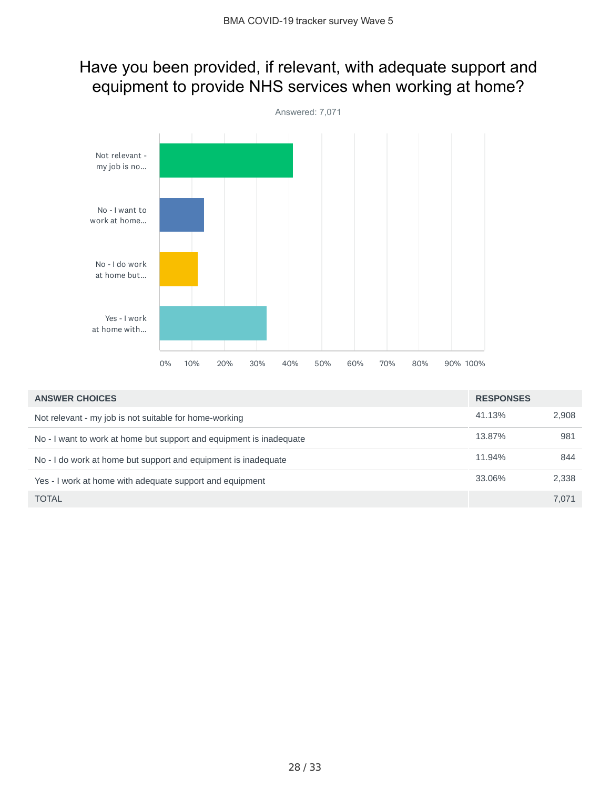### Have you been provided, if relevant, with adequate support and equipment to provide NHS services when working at home?



| <b>ANSWER CHOICES</b>                                               | <b>RESPONSES</b> |       |
|---------------------------------------------------------------------|------------------|-------|
| Not relevant - my job is not suitable for home-working              | 41.13%           | 2.908 |
| No - I want to work at home but support and equipment is inadequate | 13.87%           | 981   |
| No - I do work at home but support and equipment is inadequate      | 11.94%           | 844   |
| Yes - I work at home with adequate support and equipment            | 33.06%           | 2.338 |
| <b>TOTAL</b>                                                        |                  | 7.071 |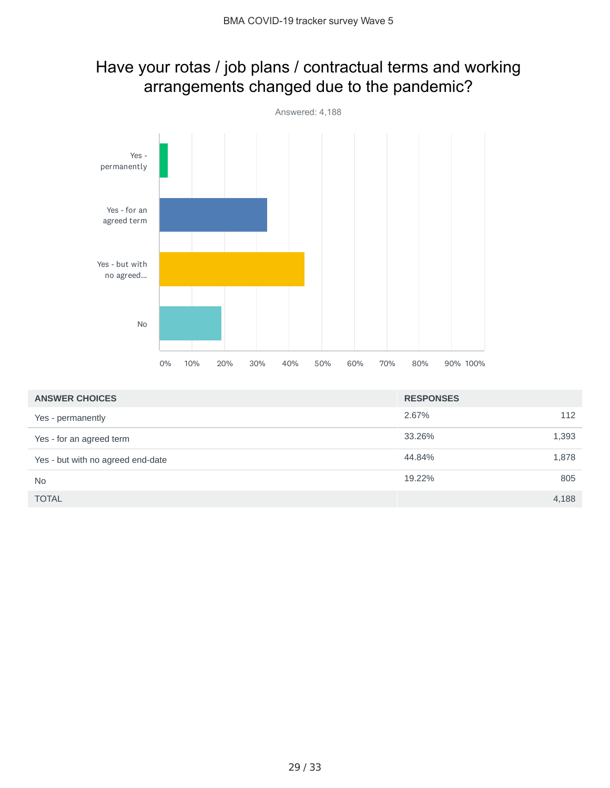## Have your rotas / job plans / contractual terms and working arrangements changed due to the pandemic?



| <b>ANSWER CHOICES</b>             | <b>RESPONSES</b> |       |
|-----------------------------------|------------------|-------|
| Yes - permanently                 | 2.67%            | 112   |
| Yes - for an agreed term          | 33.26%           | 1,393 |
| Yes - but with no agreed end-date | 44.84%           | 1,878 |
| <b>No</b>                         | 19.22%           | 805   |
| <b>TOTAL</b>                      |                  | 4,188 |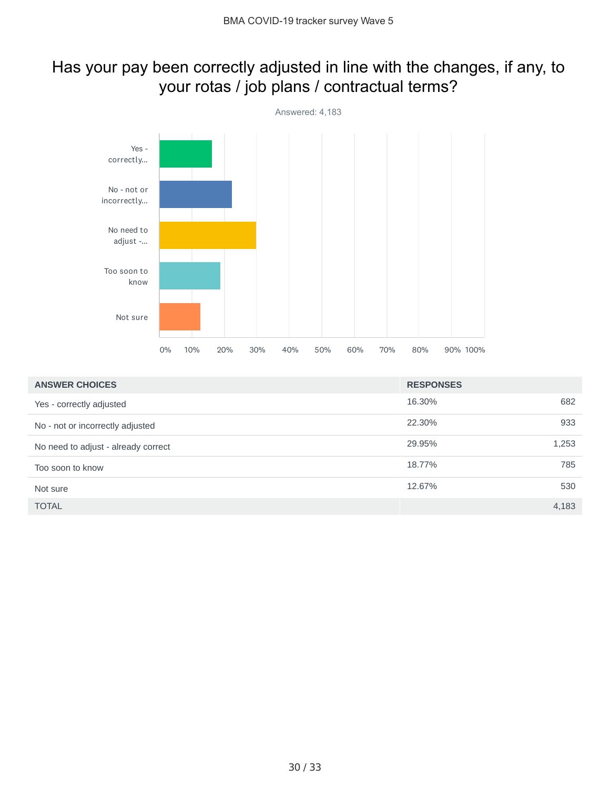## Has your pay been correctly adjusted in line with the changes, if any, to your rotas / job plans / contractual terms?



| <b>ANSWER CHOICES</b>               | <b>RESPONSES</b> |       |
|-------------------------------------|------------------|-------|
| Yes - correctly adjusted            | 16.30%           | 682   |
| No - not or incorrectly adjusted    | 22.30%           | 933   |
| No need to adjust - already correct | 29.95%           | 1,253 |
| Too soon to know                    | 18.77%           | 785   |
| Not sure                            | 12.67%           | 530   |
| <b>TOTAL</b>                        |                  | 4,183 |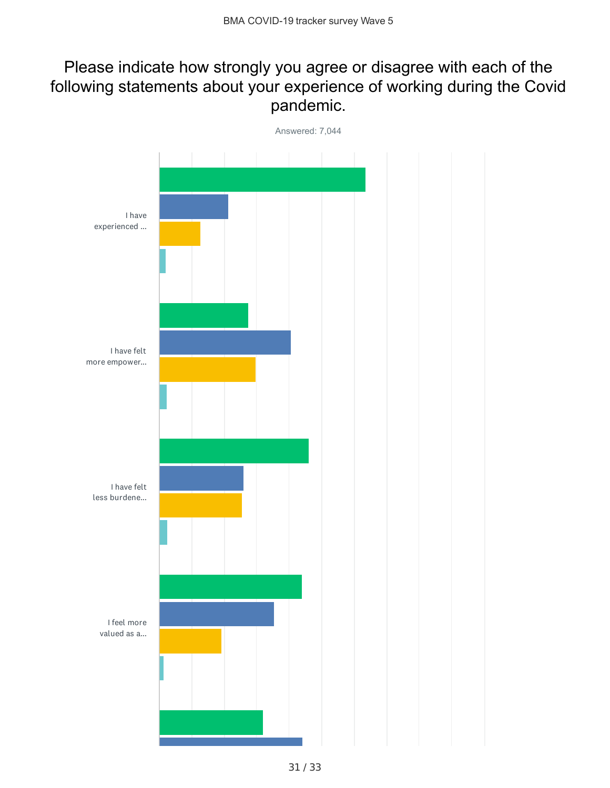## Please indicate how strongly you agree or disagree with each of the following statements about your experience of working during the Covid pandemic.

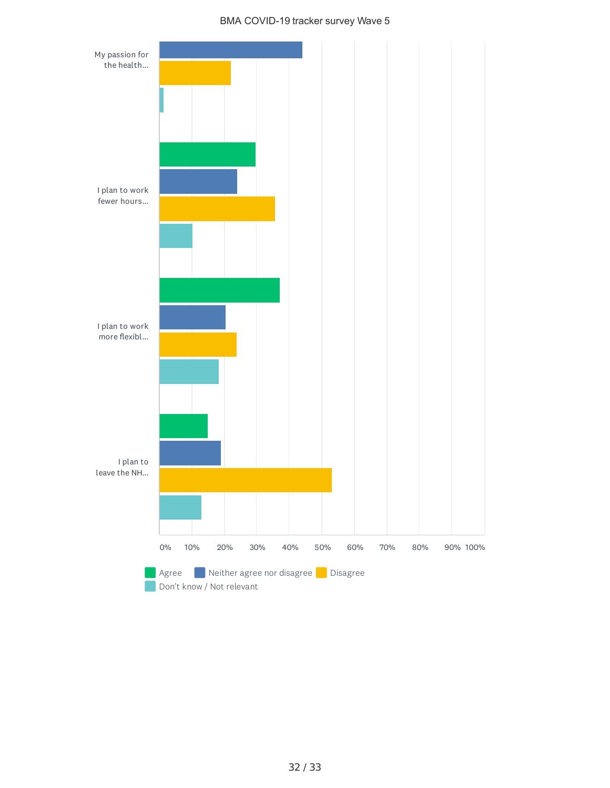#### BMA COVID-19 tracker survey Wave 5